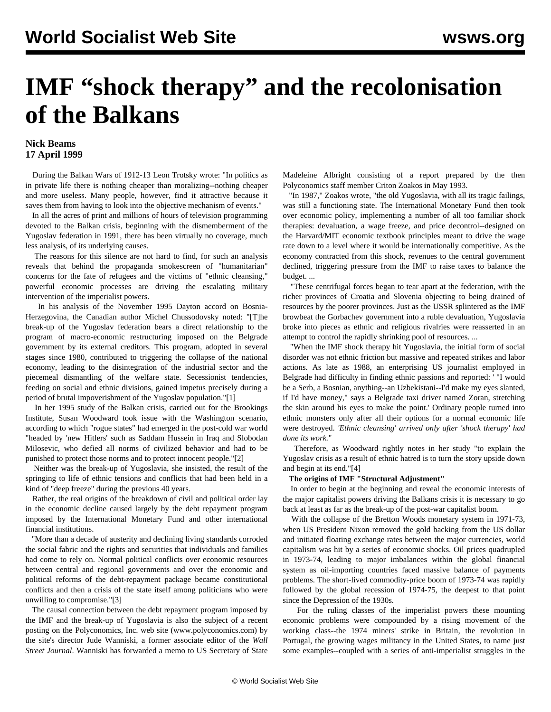# **IMF "shock therapy" and the recolonisation of the Balkans**

### **Nick Beams 17 April 1999**

 During the Balkan Wars of 1912-13 Leon Trotsky wrote: "In politics as in private life there is nothing cheaper than moralizing--nothing cheaper and more useless. Many people, however, find it attractive because it saves them from having to look into the objective mechanism of events."

 In all the acres of print and millions of hours of television programming devoted to the Balkan crisis, beginning with the dismemberment of the Yugoslav federation in 1991, there has been virtually no coverage, much less analysis, of its underlying causes.

 The reasons for this silence are not hard to find, for such an analysis reveals that behind the propaganda smokescreen of "humanitarian" concerns for the fate of refugees and the victims of "ethnic cleansing," powerful economic processes are driving the escalating military intervention of the imperialist powers.

 In his analysis of the November 1995 Dayton accord on Bosnia-Herzegovina, the Canadian author Michel Chussodovsky noted: "[T]he break-up of the Yugoslav federation bears a direct relationship to the program of macro-economic restructuring imposed on the Belgrade government by its external creditors. This program, adopted in several stages since 1980, contributed to triggering the collapse of the national economy, leading to the disintegration of the industrial sector and the piecemeal dismantling of the welfare state. Secessionist tendencies, feeding on social and ethnic divisions, gained impetus precisely during a period of brutal impoverishment of the Yugoslav population."[1]

 In her 1995 study of the Balkan crisis, carried out for the Brookings Institute, Susan Woodward took issue with the Washington scenario, according to which "rogue states" had emerged in the post-cold war world "headed by 'new Hitlers' such as Saddam Hussein in Iraq and Slobodan Milosevic, who defied all norms of civilized behavior and had to be punished to protect those norms and to protect innocent people."[2]

 Neither was the break-up of Yugoslavia, she insisted, the result of the springing to life of ethnic tensions and conflicts that had been held in a kind of "deep freeze" during the previous 40 years.

 Rather, the real origins of the breakdown of civil and political order lay in the economic decline caused largely by the debt repayment program imposed by the International Monetary Fund and other international financial institutions.

 "More than a decade of austerity and declining living standards corroded the social fabric and the rights and securities that individuals and families had come to rely on. Normal political conflicts over economic resources between central and regional governments and over the economic and political reforms of the debt-repayment package became constitutional conflicts and then a crisis of the state itself among politicians who were unwilling to compromise."[3]

 The causal connection between the debt repayment program imposed by the IMF and the break-up of Yugoslavia is also the subject of a recent posting on the Polyconomics, Inc. web site (www.polyconomics.com) by the site's director Jude Wanniski, a former associate editor of the *Wall Street Journal*. Wanniski has forwarded a memo to US Secretary of State

Madeleine Albright consisting of a report prepared by the then Polyconomics staff member Criton Zoakos in May 1993.

 "In 1987," Zoakos wrote, "the old Yugoslavia, with all its tragic failings, was still a functioning state. The International Monetary Fund then took over economic policy, implementing a number of all too familiar shock therapies: devaluation, a wage freeze, and price decontrol--designed on the Harvard/MIT economic textbook principles meant to drive the wage rate down to a level where it would be internationally competitive. As the economy contracted from this shock, revenues to the central government declined, triggering pressure from the IMF to raise taxes to balance the budget. ...

 "These centrifugal forces began to tear apart at the federation, with the richer provinces of Croatia and Slovenia objecting to being drained of resources by the poorer provinces. Just as the USSR splintered as the IMF browbeat the Gorbachev government into a ruble devaluation, Yugoslavia broke into pieces as ethnic and religious rivalries were reasserted in an attempt to control the rapidly shrinking pool of resources. ...

 "When the IMF shock therapy hit Yugoslavia, the initial form of social disorder was not ethnic friction but massive and repeated strikes and labor actions. As late as 1988, an enterprising US journalist employed in Belgrade had difficulty in finding ethnic passions and reported: ' "I would be a Serb, a Bosnian, anything--an Uzbekistani--I'd make my eyes slanted, if I'd have money," says a Belgrade taxi driver named Zoran, stretching the skin around his eyes to make the point.' Ordinary people turned into ethnic monsters only after all their options for a normal economic life were destroyed. *'Ethnic cleansing' arrived only after 'shock therapy' had done its work.*"

 Therefore, as Woodward rightly notes in her study "to explain the Yugoslav crisis as a result of ethnic hatred is to turn the story upside down and begin at its end."[4]

#### **The origins of IMF "Structural Adjustment"**

 In order to begin at the beginning and reveal the economic interests of the major capitalist powers driving the Balkans crisis it is necessary to go back at least as far as the break-up of the post-war capitalist boom.

 With the collapse of the Bretton Woods monetary system in 1971-73, when US President Nixon removed the gold backing from the US dollar and initiated floating exchange rates between the major currencies, world capitalism was hit by a series of economic shocks. Oil prices quadrupled in 1973-74, leading to major imbalances within the global financial system as oil-importing countries faced massive balance of payments problems. The short-lived commodity-price boom of 1973-74 was rapidly followed by the global recession of 1974-75, the deepest to that point since the Depression of the 1930s.

 For the ruling classes of the imperialist powers these mounting economic problems were compounded by a rising movement of the working class--the 1974 miners' strike in Britain, the revolution in Portugal, the growing wages militancy in the United States, to name just some examples--coupled with a series of anti-imperialist struggles in the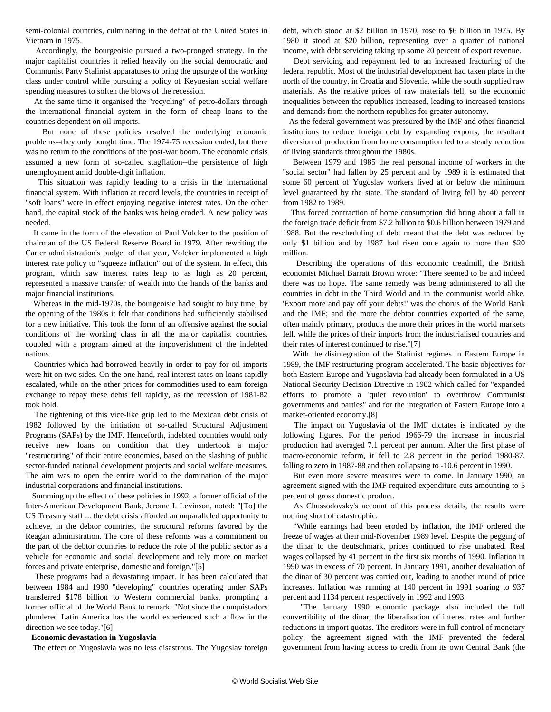semi-colonial countries, culminating in the defeat of the United States in Vietnam in 1975.

 Accordingly, the bourgeoisie pursued a two-pronged strategy. In the major capitalist countries it relied heavily on the social democratic and Communist Party Stalinist apparatuses to bring the upsurge of the working class under control while pursuing a policy of Keynesian social welfare spending measures to soften the blows of the recession.

 At the same time it organised the "recycling" of petro-dollars through the international financial system in the form of cheap loans to the countries dependent on oil imports.

 But none of these policies resolved the underlying economic problems--they only bought time. The 1974-75 recession ended, but there was no return to the conditions of the post-war boom. The economic crisis assumed a new form of so-called stagflation--the persistence of high unemployment amid double-digit inflation.

 This situation was rapidly leading to a crisis in the international financial system. With inflation at record levels, the countries in receipt of "soft loans" were in effect enjoying negative interest rates. On the other hand, the capital stock of the banks was being eroded. A new policy was needed.

 It came in the form of the elevation of Paul Volcker to the position of chairman of the US Federal Reserve Board in 1979. After rewriting the Carter administration's budget of that year, Volcker implemented a high interest rate policy to "squeeze inflation" out of the system. In effect, this program, which saw interest rates leap to as high as 20 percent, represented a massive transfer of wealth into the hands of the banks and major financial institutions.

 Whereas in the mid-1970s, the bourgeoisie had sought to buy time, by the opening of the 1980s it felt that conditions had sufficiently stabilised for a new initiative. This took the form of an offensive against the social conditions of the working class in all the major capitalist countries, coupled with a program aimed at the impoverishment of the indebted nations.

 Countries which had borrowed heavily in order to pay for oil imports were hit on two sides. On the one hand, real interest rates on loans rapidly escalated, while on the other prices for commodities used to earn foreign exchange to repay these debts fell rapidly, as the recession of 1981-82 took hold.

 The tightening of this vice-like grip led to the Mexican debt crisis of 1982 followed by the initiation of so-called Structural Adjustment Programs (SAPs) by the IMF. Henceforth, indebted countries would only receive new loans on condition that they undertook a major "restructuring" of their entire economies, based on the slashing of public sector-funded national development projects and social welfare measures. The aim was to open the entire world to the domination of the major industrial corporations and financial institutions.

 Summing up the effect of these policies in 1992, a former official of the Inter-American Development Bank, Jerome I. Levinson, noted: "[To] the US Treasury staff ... the debt crisis afforded an unparalleled opportunity to achieve, in the debtor countries, the structural reforms favored by the Reagan administration. The core of these reforms was a commitment on the part of the debtor countries to reduce the role of the public sector as a vehicle for economic and social development and rely more on market forces and private enterprise, domestic and foreign."[5]

 These programs had a devastating impact. It has been calculated that between 1984 and 1990 "developing" countries operating under SAPs transferred \$178 billion to Western commercial banks, prompting a former official of the World Bank to remark: "Not since the conquistadors plundered Latin America has the world experienced such a flow in the direction we see today."[6]

#### **Economic devastation in Yugoslavia**

The effect on Yugoslavia was no less disastrous. The Yugoslav foreign

debt, which stood at \$2 billion in 1970, rose to \$6 billion in 1975. By 1980 it stood at \$20 billion, representing over a quarter of national income, with debt servicing taking up some 20 percent of export revenue.

 Debt servicing and repayment led to an increased fracturing of the federal republic. Most of the industrial development had taken place in the north of the country, in Croatia and Slovenia, while the south supplied raw materials. As the relative prices of raw materials fell, so the economic inequalities between the republics increased, leading to increased tensions and demands from the northern republics for greater autonomy.

 As the federal government was pressured by the IMF and other financial institutions to reduce foreign debt by expanding exports, the resultant diversion of production from home consumption led to a steady reduction of living standards throughout the 1980s.

 Between 1979 and 1985 the real personal income of workers in the "social sector" had fallen by 25 percent and by 1989 it is estimated that some 60 percent of Yugoslav workers lived at or below the minimum level guaranteed by the state. The standard of living fell by 40 percent from 1982 to 1989.

 This forced contraction of home consumption did bring about a fall in the foreign trade deficit from \$7.2 billion to \$0.6 billion between 1979 and 1988. But the rescheduling of debt meant that the debt was reduced by only \$1 billion and by 1987 had risen once again to more than \$20 million.

 Describing the operations of this economic treadmill, the British economist Michael Barratt Brown wrote: "There seemed to be and indeed there was no hope. The same remedy was being administered to all the countries in debt in the Third World and in the communist world alike. 'Export more and pay off your debts!' was the chorus of the World Bank and the IMF; and the more the debtor countries exported of the same, often mainly primary, products the more their prices in the world markets fell, while the prices of their imports from the industrialised countries and their rates of interest continued to rise."[7]

 With the disintegration of the Stalinist regimes in Eastern Europe in 1989, the IMF restructuring program accelerated. The basic objectives for both Eastern Europe and Yugoslavia had already been formulated in a US National Security Decision Directive in 1982 which called for "expanded efforts to promote a 'quiet revolution' to overthrow Communist governments and parties" and for the integration of Eastern Europe into a market-oriented economy.[8]

 The impact on Yugoslavia of the IMF dictates is indicated by the following figures. For the period 1966-79 the increase in industrial production had averaged 7.1 percent per annum. After the first phase of macro-economic reform, it fell to 2.8 percent in the period 1980-87, falling to zero in 1987-88 and then collapsing to -10.6 percent in 1990.

 But even more severe measures were to come. In January 1990, an agreement signed with the IMF required expenditure cuts amounting to 5 percent of gross domestic product.

 As Chussodovsky's account of this process details, the results were nothing short of catastrophic.

 "While earnings had been eroded by inflation, the IMF ordered the freeze of wages at their mid-November 1989 level. Despite the pegging of the dinar to the deutschmark, prices continued to rise unabated. Real wages collapsed by 41 percent in the first six months of 1990. Inflation in 1990 was in excess of 70 percent. In January 1991, another devaluation of the dinar of 30 percent was carried out, leading to another round of price increases. Inflation was running at 140 percent in 1991 soaring to 937 percent and 1134 percent respectively in 1992 and 1993.

 "The January 1990 economic package also included the full convertibility of the dinar, the liberalisation of interest rates and further reductions in import quotas. The creditors were in full control of monetary policy: the agreement signed with the IMF prevented the federal government from having access to credit from its own Central Bank (the